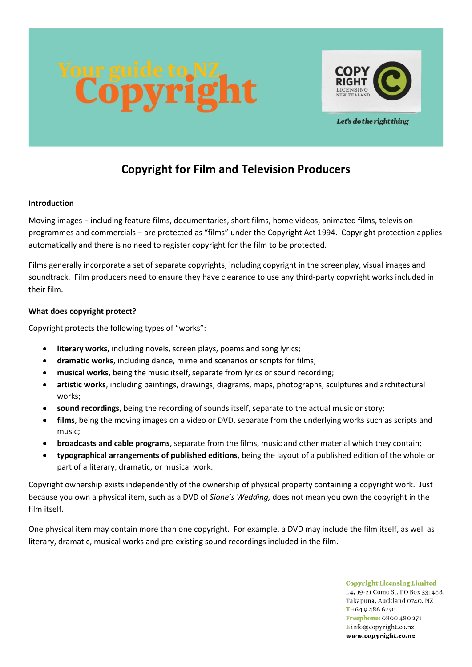



Let's do the right thing

# **Copyright for Film and Television Producers**

## **Introduction**

Moving images − including feature films, documentaries, short films, home videos, animated films, television programmes and commercials − are protected as "films" under the Copyright Act 1994. Copyright protection applies automatically and there is no need to register copyright for the film to be protected.

Films generally incorporate a set of separate copyrights, including copyright in the screenplay, visual images and soundtrack. Film producers need to ensure they have clearance to use any third-party copyright works included in their film.

## **What does copyright protect?**

Copyright protects the following types of "works":

- **literary works**, including novels, screen plays, poems and song lyrics;
- **dramatic works**, including dance, mime and scenarios or scripts for films;
- **musical works**, being the music itself, separate from lyrics or sound recording;
- **artistic works**, including paintings, drawings, diagrams, maps, photographs, sculptures and architectural works;
- **sound recordings**, being the recording of sounds itself, separate to the actual music or story;
- **films**, being the moving images on a video or DVD, separate from the underlying works such as scripts and music;
- **broadcasts and cable programs**, separate from the films, music and other material which they contain;
- **typographical arrangements of published editions**, being the layout of a published edition of the whole or part of a literary, dramatic, or musical work.

Copyright ownership exists independently of the ownership of physical property containing a copyright work. Just because you own a physical item, such as a DVD of *Sione's Wedding,* does not mean you own the copyright in the film itself.

One physical item may contain more than one copyright. For example, a DVD may include the film itself, as well as literary, dramatic, musical works and pre-existing sound recordings included in the film.

> **Copyright Licensing Limited** L4, 19-21 Como St, PO Box 331488. Takapuna, Auckland 0740, NZ  $T + 6494866250$ Freephone: 0800 480 271 Einfo@copyright.co.nz www.copyright.co.nz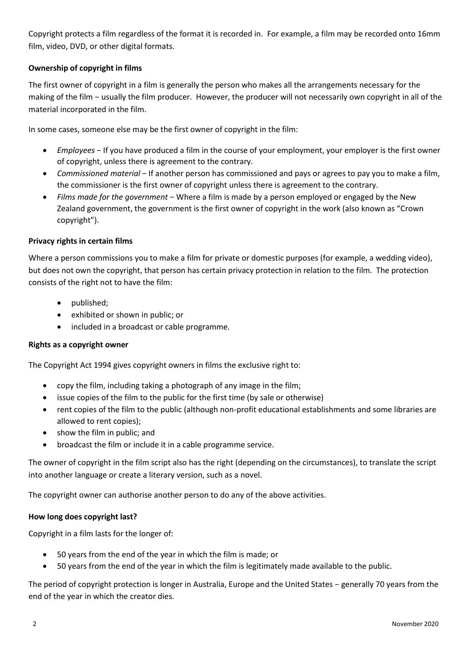Copyright protects a film regardless of the format it is recorded in. For example, a film may be recorded onto 16mm film, video, DVD, or other digital formats.

# **Ownership of copyright in films**

The first owner of copyright in a film is generally the person who makes all the arrangements necessary for the making of the film − usually the film producer. However, the producer will not necessarily own copyright in all of the material incorporated in the film.

In some cases, someone else may be the first owner of copyright in the film:

- *Employees* − If you have produced a film in the course of your employment, your employer is the first owner of copyright, unless there is agreement to the contrary.
- *Commissioned material* − If another person has commissioned and pays or agrees to pay you to make a film, the commissioner is the first owner of copyright unless there is agreement to the contrary.
- *Films made for the government* − Where a film is made by a person employed or engaged by the New Zealand government, the government is the first owner of copyright in the work (also known as "Crown copyright").

# **Privacy rights in certain films**

Where a person commissions you to make a film for private or domestic purposes (for example, a wedding video), but does not own the copyright, that person has certain privacy protection in relation to the film. The protection consists of the right not to have the film:

- published;
- exhibited or shown in public; or
- included in a broadcast or cable programme.

# **Rights as a copyright owner**

The Copyright Act 1994 gives copyright owners in films the exclusive right to:

- copy the film, including taking a photograph of any image in the film;
- issue copies of the film to the public for the first time (by sale or otherwise)
- rent copies of the film to the public (although non-profit educational establishments and some libraries are allowed to rent copies);
- show the film in public; and
- broadcast the film or include it in a cable programme service.

The owner of copyright in the film script also has the right (depending on the circumstances), to translate the script into another language or create a literary version, such as a novel.

The copyright owner can authorise another person to do any of the above activities.

#### **How long does copyright last?**

Copyright in a film lasts for the longer of:

- 50 years from the end of the year in which the film is made; or
- 50 years from the end of the year in which the film is legitimately made available to the public.

The period of copyright protection is longer in Australia, Europe and the United States − generally 70 years from the end of the year in which the creator dies.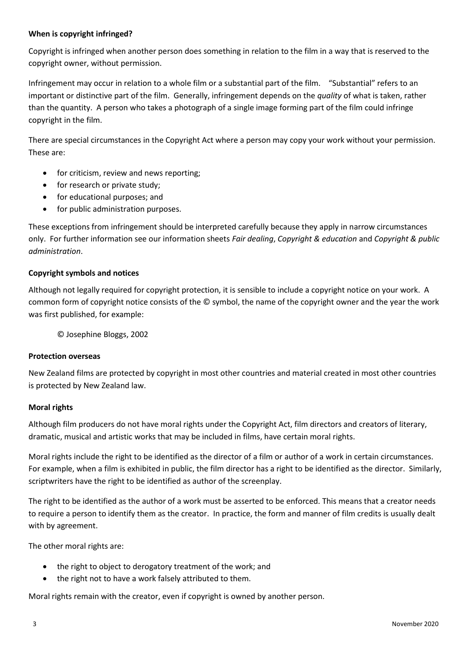## **When is copyright infringed?**

Copyright is infringed when another person does something in relation to the film in a way that is reserved to the copyright owner, without permission.

Infringement may occur in relation to a whole film or a substantial part of the film. "Substantial" refers to an important or distinctive part of the film. Generally, infringement depends on the *quality* of what is taken, rather than the quantity. A person who takes a photograph of a single image forming part of the film could infringe copyright in the film.

There are special circumstances in the Copyright Act where a person may copy your work without your permission. These are:

- for criticism, review and news reporting;
- for research or private study;
- for educational purposes; and
- for public administration purposes.

These exceptions from infringement should be interpreted carefully because they apply in narrow circumstances only. For further information see our information sheets *Fair dealing*, *Copyright & education* and *Copyright & public administration*.

## **Copyright symbols and notices**

Although not legally required for copyright protection, it is sensible to include a copyright notice on your work. A common form of copyright notice consists of the © symbol, the name of the copyright owner and the year the work was first published, for example:

© Josephine Bloggs, 2002

#### **Protection overseas**

New Zealand films are protected by copyright in most other countries and material created in most other countries is protected by New Zealand law.

# **Moral rights**

Although film producers do not have moral rights under the Copyright Act, film directors and creators of literary, dramatic, musical and artistic works that may be included in films, have certain moral rights.

Moral rights include the right to be identified as the director of a film or author of a work in certain circumstances. For example, when a film is exhibited in public, the film director has a right to be identified as the director. Similarly, scriptwriters have the right to be identified as author of the screenplay.

The right to be identified as the author of a work must be asserted to be enforced. This means that a creator needs to require a person to identify them as the creator. In practice, the form and manner of film credits is usually dealt with by agreement.

The other moral rights are:

- the right to object to derogatory treatment of the work; and
- the right not to have a work falsely attributed to them.

Moral rights remain with the creator, even if copyright is owned by another person.